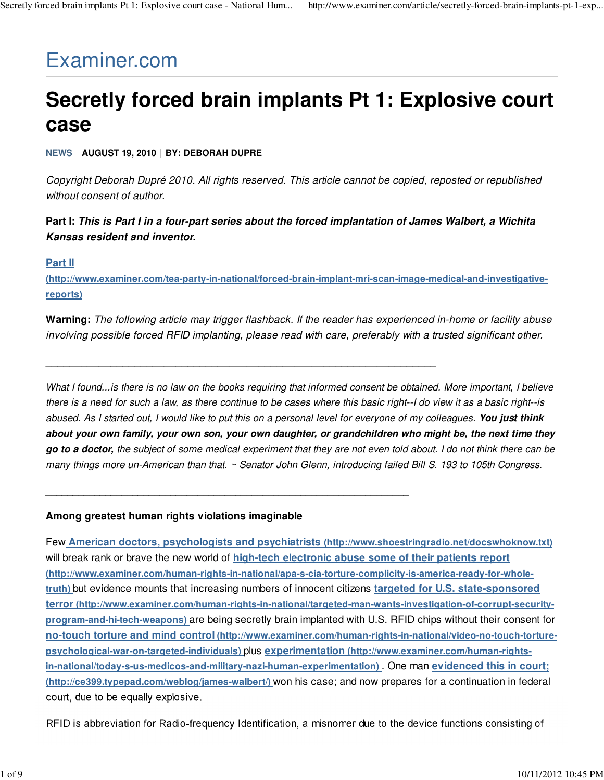# Examiner.com

# **Secretly forced brain implants Pt 1: Explosive court case**

**NEWS AUGUST 19, 2010 BY: DEBORAH DUPRE**

Copyright Deborah Dupré 2010. All rights reserved. This article cannot be copied, reposted or republished without consent of author.

**Part I: This is Part I in a four-part series about the forced implantation of James Walbert, a Wichita Kansas resident and inventor.**

### **Part II**

**(http://www.examiner.com/tea-party-in-national/forced-brain-implant-mri-scan-image-medical-and-investigativereports)**

**Warning:** The following article may trigger flashback. If the reader has experienced in-home or facility abuse involving possible forced RFID implanting, please read with care, preferably with a trusted significant other.

\_\_\_\_\_\_\_\_\_\_\_\_\_\_\_\_\_\_\_\_\_\_\_\_\_\_\_\_\_\_\_\_\_\_\_\_\_\_\_\_\_\_\_\_\_\_\_\_\_\_\_\_\_\_\_\_\_\_\_\_\_\_\_\_\_\_

\_\_\_\_\_\_\_\_\_\_\_\_\_\_\_\_\_\_\_\_\_\_\_\_\_\_\_\_\_\_\_\_\_\_\_\_\_\_\_\_\_\_\_\_\_\_\_\_\_\_\_\_\_\_\_\_\_\_\_\_\_\_\_\_\_\_\_

What I found...is there is no law on the books requiring that informed consent be obtained. More important, I believe there is a need for such a law, as there continue to be cases where this basic right--I do view it as a basic right--is abused. As I started out, I would like to put this on a personal level for everyone of my colleagues. **You just think about your own family, your own son, your own daughter, or grandchildren who might be, the next time they go to a doctor,** the subject of some medical experiment that they are not even told about. I do not think there can be many things more un-American than that. ~ Senator John Glenn, introducing failed Bill S. 193 to 105th Congress.

#### **Among greatest human rights violations imaginable**

Few **American doctors, psychologists and psychiatrists (http://www.shoestringradio.net/docswhoknow.txt)** will break rank or brave the new world of **high-tech electronic abuse some of their patients report (http://www.examiner.com/human-rights-in-national/apa-s-cia-torture-complicity-is-america-ready-for-wholetruth)** but evidence mounts that increasing numbers of innocent citizens **targeted for U.S. state-sponsored terror (http://www.examiner.com/human-rights-in-national/targeted-man-wants-investigation-of-corrupt-securityprogram-and-hi-tech-weapons)** are being secretly brain implanted with U.S. RFID chips without their consent for **no-touch torture and mind control (http://www.examiner.com/human-rights-in-national/video-no-touch-torturepsychological-war-on-targeted-individuals)** plus **experimentation (http://www.examiner.com/human-rightsin-national/today-s-us-medicos-and-military-nazi-human-experimentation)** . One man **evidenced this in court; (http://ce399.typepad.com/weblog/james-walbert/)** won his case; and now prepares for a continuation in federal court, due to be equally explosive.

RFID is abbreviation for Radio-frequency Identification, a misnomer due to the device functions consisting of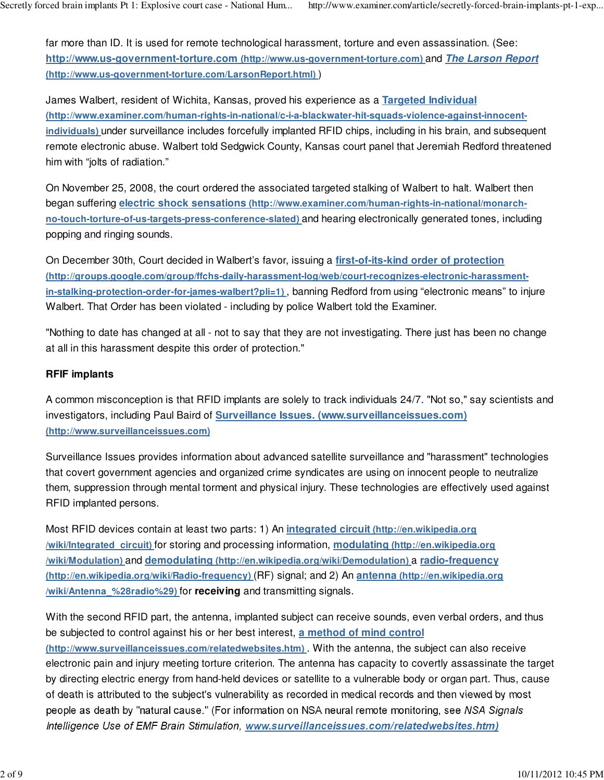far more than ID. It is used for remote technological harassment, torture and even assassination. (See: **http://www.us-government-torture.com (http://www.us-government-torture.com)** and **The Larson Report (http://www.us-government-torture.com/LarsonReport.html)** )

James Walbert, resident of Wichita, Kansas, proved his experience as a **Targeted Individual (http://www.examiner.com/human-rights-in-national/c-i-a-blackwater-hit-squads-violence-against-innocentindividuals)** under surveillance includes forcefully implanted RFID chips, including in his brain, and subsequent remote electronic abuse. Walbert told Sedgwick County, Kansas court panel that Jeremiah Redford threatened him with "jolts of radiation."

On November 25, 2008, the court ordered the associated targeted stalking of Walbert to halt. Walbert then began suffering **electric shock sensations (http://www.examiner.com/human-rights-in-national/monarchno-touch-torture-of-us-targets-press-conference-slated)** and hearing electronically generated tones, including popping and ringing sounds.

On December 30th, Court decided in Walbert's favor, issuing a **first-of-its-kind order of protection (http://groups.google.com/group/ffchs-daily-harassment-log/web/court-recognizes-electronic-harassmentin-stalking-protection-order-for-james-walbert?pli=1)** , banning Redford from using "electronic means" to injure Walbert. That Order has been violated - including by police Walbert told the Examiner.

"Nothing to date has changed at all - not to say that they are not investigating. There just has been no change at all in this harassment despite this order of protection."

### **RFIF implants**

A common misconception is that RFID implants are solely to track individuals 24/7. "Not so," say scientists and investigators, including Paul Baird of **Surveillance Issues. (www.surveillanceissues.com) (http://www.surveillanceissues.com)**

Surveillance Issues provides information about advanced satellite surveillance and "harassment" technologies that covert government agencies and organized crime syndicates are using on innocent people to neutralize them, suppression through mental torment and physical injury. These technologies are effectively used against RFID implanted persons.

Most RFID devices contain at least two parts: 1) An **integrated circuit (http://en.wikipedia.org /wiki/Integrated\_circuit)** for storing and processing information, **modulating (http://en.wikipedia.org /wiki/Modulation)** and **demodulating (http://en.wikipedia.org/wiki/Demodulation)** a **radio-frequency (http://en.wikipedia.org/wiki/Radio-frequency)** (RF) signal; and 2) An **antenna (http://en.wikipedia.org /wiki/Antenna\_%28radio%29)** for **receiving** and transmitting signals.

With the second RFID part, the antenna, implanted subject can receive sounds, even verbal orders, and thus be subjected to control against his or her best interest, **a method of mind control (http://www.surveillanceissues.com/relatedwebsites.htm)** . With the antenna, the subject can also receive electronic pain and injury meeting torture criterion. The antenna has capacity to covertly assassinate the target by directing electric energy from hand-held devices or satellite to a vulnerable body or organ part. Thus, cause of death is attributed to the subject's vulnerability as recorded in medical records and then viewed by most people as death by "natural cause." (For information on NSA neural remote monitoring, see NSA Signals Intelligence Use of EMF Brain Stimulation, **www.surveillanceissues.com/relatedwebsites.htm)**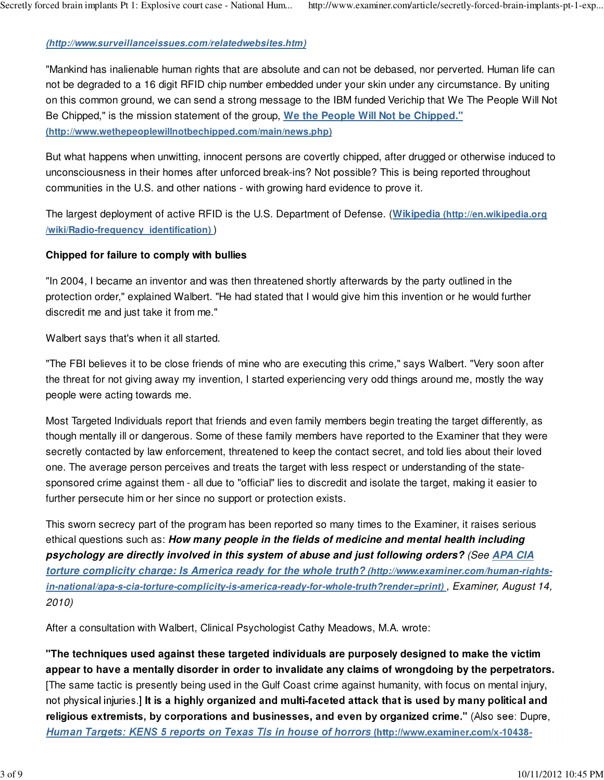## **(http://www.surveillanceissues.com/relatedwebsites.htm)**

"Mankind has inalienable human rights that are absolute and can not be debased, nor perverted. Human life can not be degraded to a 16 digit RFID chip number embedded under your skin under any circumstance. By uniting on this common ground, we can send a strong message to the IBM funded Verichip that We The People Will Not Be Chipped," is the mission statement of the group, **We the People Will Not be Chipped." (http://www.wethepeoplewillnotbechipped.com/main/news.php)**

But what happens when unwitting, innocent persons are covertly chipped, after drugged or otherwise induced to unconsciousness in their homes after unforced break-ins? Not possible? This is being reported throughout communities in the U.S. and other nations - with growing hard evidence to prove it.

The largest deployment of active RFID is the U.S. Department of Defense. (**Wikipedia (http://en.wikipedia.org /wiki/Radio-frequency\_identification)** )

### **Chipped for failure to comply with bullies**

"In 2004, I became an inventor and was then threatened shortly afterwards by the party outlined in the protection order," explained Walbert. "He had stated that I would give him this invention or he would further discredit me and just take it from me."

Walbert says that's when it all started.

"The FBI believes it to be close friends of mine who are executing this crime," says Walbert. "Very soon after the threat for not giving away my invention, I started experiencing very odd things around me, mostly the way people were acting towards me.

Most Targeted Individuals report that friends and even family members begin treating the target differently, as though mentally ill or dangerous. Some of these family members have reported to the Examiner that they were secretly contacted by law enforcement, threatened to keep the contact secret, and told lies about their loved one. The average person perceives and treats the target with less respect or understanding of the statesponsored crime against them - all due to "official" lies to discredit and isolate the target, making it easier to further persecute him or her since no support or protection exists.

This sworn secrecy part of the program has been reported so many times to the Examiner, it raises serious ethical questions such as: **How many people in the fields of medicine and mental health including psychology are directly involved in this system of abuse and just following orders?** (See **APA CIA torture complicity charge: Is America ready for the whole truth? (http://www.examiner.com/human-rightsin-national/apa-s-cia-torture-complicity-is-america-ready-for-whole-truth?render=print)** , Examiner, August 14, 2010)

After a consultation with Walbert, Clinical Psychologist Cathy Meadows, M.A. wrote:

**"The techniques used against these targeted individuals are purposely designed to make the victim appear to have a mentally disorder in order to invalidate any claims of wrongdoing by the perpetrators.** [The same tactic is presently being used in the Gulf Coast crime against humanity, with focus on mental injury, not physical injuries.] **It is a highly organized and multi-faceted attack that is used by many political and religious extremists, by corporations and businesses, and even by organized crime."** (Also see: Dupre, **Human Targets: KENS 5 reports on Texas TIs in house of horrors (http://www.examiner.com/x-10438-**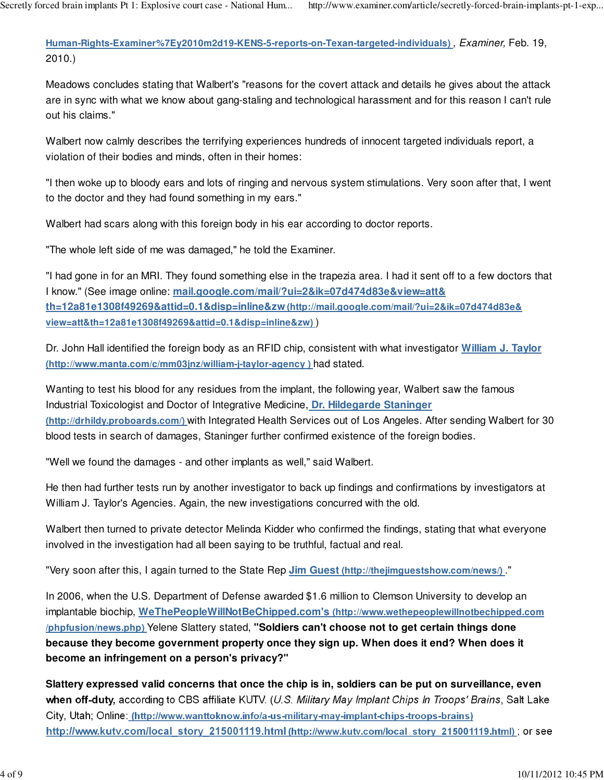**Human-Rights-Examiner%7Ey2010m2d19-KENS-5-reports-on-Texan-targeted-individuals)** , Examiner, Feb. 19, 2010.)

Meadows concludes stating that Walbert's "reasons for the covert attack and details he gives about the attack are in sync with what we know about gang-staling and technological harassment and for this reason I can't rule out his claims."

Walbert now calmly describes the terrifying experiences hundreds of innocent targeted individuals report, a violation of their bodies and minds, often in their homes:

"I then woke up to bloody ears and lots of ringing and nervous system stimulations. Very soon after that, I went to the doctor and they had found something in my ears."

Walbert had scars along with this foreign body in his ear according to doctor reports.

"The whole left side of me was damaged," he told the Examiner.

"I had gone in for an MRI. They found something else in the trapezia area. I had it sent off to a few doctors that I know." (See image online: **mail.google.com/mail/?ui=2&ik=07d474d83e&view=att& th=12a81e1308f49269&attid=0.1&disp=inline&zw (http://mail.google.com/mail/?ui=2&ik=07d474d83e& view=att&th=12a81e1308f49269&attid=0.1&disp=inline&zw)** )

Dr. John Hall identified the foreign body as an RFID chip, consistent with what investigator **William J. Taylor (http://www.manta.com/c/mm03jnz/william-j-taylor-agency )** had stated.

Wanting to test his blood for any residues from the implant, the following year, Walbert saw the famous Industrial Toxicologist and Doctor of Integrative Medicine, **Dr. Hildegarde Staninger (http://drhildy.proboards.com/)** with Integrated Health Services out of Los Angeles. After sending Walbert for 30 blood tests in search of damages, Staninger further confirmed existence of the foreign bodies.

"Well we found the damages - and other implants as well," said Walbert.

He then had further tests run by another investigator to back up findings and confirmations by investigators at William J. Taylor's Agencies. Again, the new investigations concurred with the old.

Walbert then turned to private detector Melinda Kidder who confirmed the findings, stating that what everyone involved in the investigation had all been saying to be truthful, factual and real.

"Very soon after this, I again turned to the State Rep **Jim Guest (http://thejimguestshow.com/news/)** ."

In 2006, when the U.S. Department of Defense awarded \$1.6 million to Clemson University to develop an implantable biochip, **WeThePeopleWillNotBeChipped.com's (http://www.wethepeoplewillnotbechipped.com /phpfusion/news.php)** Yelene Slattery stated, **"Soldiers can't choose not to get certain things done because they become government property once they sign up. When does it end? When does it become an infringement on a person's privacy?"**

**Slattery expressed valid concerns that once the chip is in, soldiers can be put on surveillance, even** when off-duty, according to CBS affiliate KUTV. (U.S. Military May Implant Chips In Troops' Brains, Salt Lake City, Utah; Online: **(http://www.wanttoknow.info/a-us-military-may-implant-chips-troops-brains) http://www.kutv.com/local\_story\_215001119.html (http://www.kutv.com/local\_story\_215001119.html)** ; or see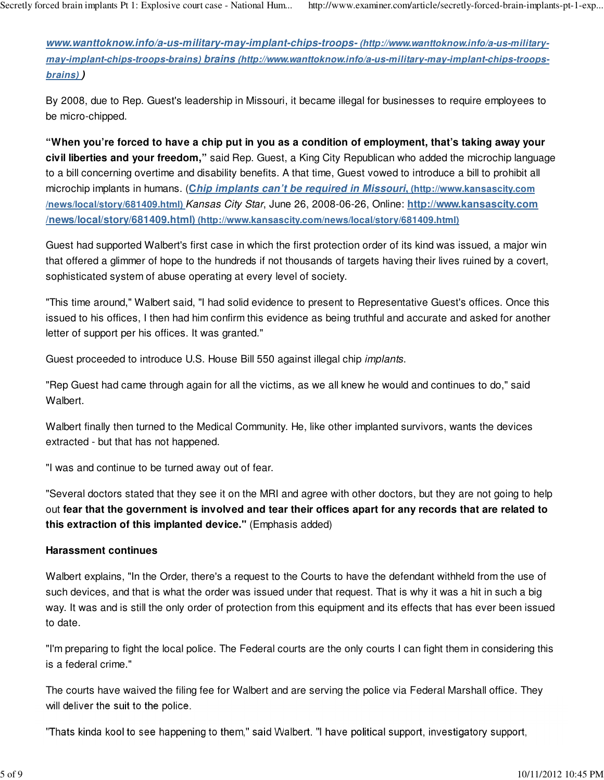**www.wanttoknow.info/a-us-military-may-implant-chips-troops- (http://www.wanttoknow.info/a-us-militarymay-implant-chips-troops-brains) brains (http://www.wanttoknow.info/a-us-military-may-implant-chips-troopsbrains) )**

By 2008, due to Rep. Guest's leadership in Missouri, it became illegal for businesses to require employees to be micro-chipped.

**"When you're forced to have a chip put in you as a condition of employment, that's taking away your civil liberties and your freedom,"** said Rep. Guest, a King City Republican who added the microchip language to a bill concerning overtime and disability benefits. A that time, Guest vowed to introduce a bill to prohibit all microchip implants in humans. (**Chip implants can't be required in Missouri, (http://www.kansascity.com /news/local/story/681409.html)** Kansas City Star, June 26, 2008-06-26, Online: **http://www.kansascity.com /news/local/story/681409.html) (http://www.kansascity.com/news/local/story/681409.html)**

Guest had supported Walbert's first case in which the first protection order of its kind was issued, a major win that offered a glimmer of hope to the hundreds if not thousands of targets having their lives ruined by a covert, sophisticated system of abuse operating at every level of society.

"This time around," Walbert said, "I had solid evidence to present to Representative Guest's offices. Once this issued to his offices, I then had him confirm this evidence as being truthful and accurate and asked for another letter of support per his offices. It was granted."

Guest proceeded to introduce U.S. House Bill 550 against illegal chip implants.

"Rep Guest had came through again for all the victims, as we all knew he would and continues to do," said Walbert.

Walbert finally then turned to the Medical Community. He, like other implanted survivors, wants the devices extracted - but that has not happened.

"I was and continue to be turned away out of fear.

"Several doctors stated that they see it on the MRI and agree with other doctors, but they are not going to help out **fear that the government is involved and tear their offices apart for any records that are related to this extraction of this implanted device."** (Emphasis added)

## **Harassment continues**

Walbert explains, "In the Order, there's a request to the Courts to have the defendant withheld from the use of such devices, and that is what the order was issued under that request. That is why it was a hit in such a big way. It was and is still the only order of protection from this equipment and its effects that has ever been issued to date.

"I'm preparing to fight the local police. The Federal courts are the only courts I can fight them in considering this is a federal crime."

The courts have waived the filing fee for Walbert and are serving the police via Federal Marshall office. They will deliver the suit to the police.

"Thats kinda kool to see happening to them," said Walbert. "I have political support, investigatory support,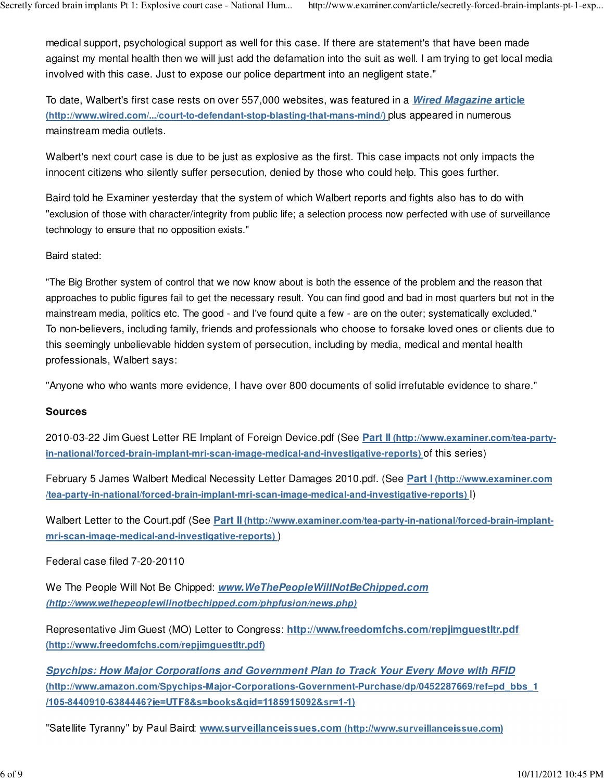medical support, psychological support as well for this case. If there are statement's that have been made against my mental health then we will just add the defamation into the suit as well. I am trying to get local media involved with this case. Just to expose our police department into an negligent state."

To date, Walbert's first case rests on over 557,000 websites, was featured in a **Wired Magazine article (http://www.wired.com/.../court-to-defendant-stop-blasting-that-mans-mind/)** plus appeared in numerous mainstream media outlets.

Walbert's next court case is due to be just as explosive as the first. This case impacts not only impacts the innocent citizens who silently suffer persecution, denied by those who could help. This goes further.

Baird told he Examiner yesterday that the system of which Walbert reports and fights also has to do with "exclusion of those with character/integrity from public life; a selection process now perfected with use of surveillance technology to ensure that no opposition exists."

Baird stated:

"The Big Brother system of control that we now know about is both the essence of the problem and the reason that approaches to public figures fail to get the necessary result. You can find good and bad in most quarters but not in the mainstream media, politics etc. The good - and I've found quite a few - are on the outer; systematically excluded." To non-believers, including family, friends and professionals who choose to forsake loved ones or clients due to this seemingly unbelievable hidden system of persecution, including by media, medical and mental health professionals, Walbert says:

"Anyone who who wants more evidence, I have over 800 documents of solid irrefutable evidence to share."

#### **Sources**

2010-03-22 Jim Guest Letter RE Implant of Foreign Device.pdf (See **Part II (http://www.examiner.com/tea-partyin-national/forced-brain-implant-mri-scan-image-medical-and-investigative-reports)** of this series)

February 5 James Walbert Medical Necessity Letter Damages 2010.pdf. (See **Part I (http://www.examiner.com /tea-party-in-national/forced-brain-implant-mri-scan-image-medical-and-investigative-reports)** I)

Walbert Letter to the Court.pdf (See **Part II (http://www.examiner.com/tea-party-in-national/forced-brain-implantmri-scan-image-medical-and-investigative-reports)** )

Federal case filed 7-20-20110

We The People Will Not Be Chipped: **www.WeThePeopleWillNotBeChipped.com (http://www.wethepeoplewillnotbechipped.com/phpfusion/news.php)**

Representative Jim Guest (MO) Letter to Congress: **http://www.freedomfchs.com/repjimguestltr.pdf (http://www.freedomfchs.com/repjimguestltr.pdf)**

**Spychips: How Major Corporations and Government Plan to Track Your Every Move with RFID (http://www.amazon.com/Spychips-Major-Corporations-Government-Purchase/dp/0452287669/ref=pd\_bbs\_1 /105-8440910-6384446?ie=UTF8&s=books&qid=1185915092&sr=1-1)**

"Satellite Tyranny'' by Paul Baird: **www.surveillanceissues.com (http://www.surveillanceissue.com)**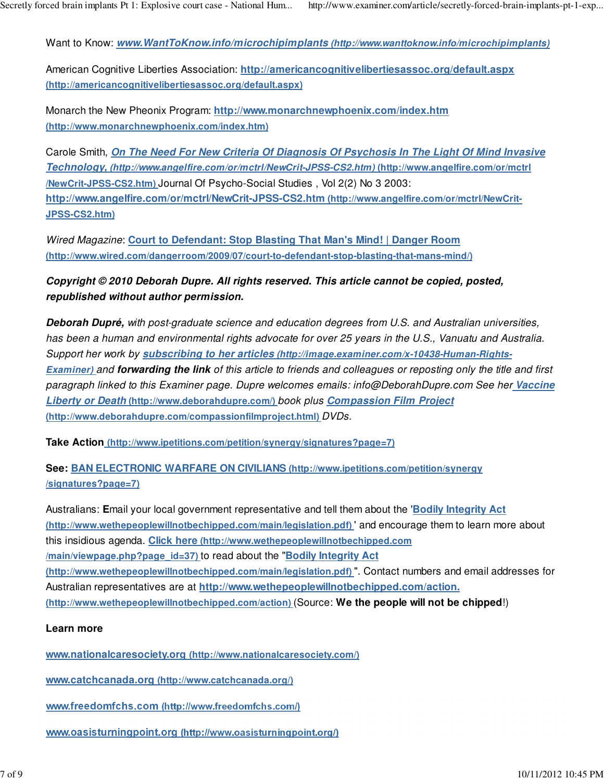Want to Know: **www.WantToKnow.info/microchipimplants (http://www.wanttoknow.info/microchipimplants)**

American Cognitive Liberties Association: **http://americancognitivelibertiesassoc.org/default.aspx (http://americancognitivelibertiesassoc.org/default.aspx)**

Monarch the New Pheonix Program: **http://www.monarchnewphoenix.com/index.htm (http://www.monarchnewphoenix.com/index.htm)**

Carole Smith, **On The Need For New Criteria Of Diagnosis Of Psychosis In The Light Of Mind Invasive Technology, (http://www.angelfire.com/or/mctrl/NewCrit-JPSS-CS2.htm) (http://www.angelfire.com/or/mctrl /NewCrit-JPSS-CS2.htm)** Journal Of Psycho-Social Studies , Vol 2(2) No 3 2003: **http://www.angelfire.com/or/mctrl/NewCrit-JPSS-CS2.htm (http://www.angelfire.com/or/mctrl/NewCrit-JPSS-CS2.htm)**

Wired Magazine: **Court to Defendant: Stop Blasting That Man's Mind! | Danger Room (http://www.wired.com/dangerroom/2009/07/court-to-defendant-stop-blasting-that-mans-mind/)**

# **Copyright © 2010 Deborah Dupre. All rights reserved. This article cannot be copied, posted, republished without author permission.**

**Deborah Dupré,** with post-graduate science and education degrees from U.S. and Australian universities, has been a human and environmental rights advocate for over 25 years in the U.S., Vanuatu and Australia. Support her work by **subscribing to her articles (http://image.examiner.com/x-10438-Human-Rights-Examiner)** and **forwarding the link** of this article to friends and colleagues or reposting only the title and first paragraph linked to this Examiner page. Dupre welcomes emails: info@DeborahDupre.com See her **Vaccine Liberty or Death (http://www.deborahdupre.com/)** book plus **Compassion Film Project (http://www.deborahdupre.com/compassionfilmproject.html)** DVDs.

**Take Action (http://www.ipetitions.com/petition/synergy/signatures?page=7)**

# **See: BAN ELECTRONIC WARFARE ON CIVILIANS (http://www.ipetitions.com/petition/synergy /signatures?page=7)**

Australians: **E**mail your local government representative and tell them about the '**Bodily Integrity Act (http://www.wethepeoplewillnotbechipped.com/main/legislation.pdf)** ' and encourage them to learn more about this insidious agenda. **Click here (http://www.wethepeoplewillnotbechipped.com /main/viewpage.php?page\_id=37)** to read about the "**Bodily Integrity Act (http://www.wethepeoplewillnotbechipped.com/main/legislation.pdf)** ". Contact numbers and email addresses for Australian representatives are at **http://www.wethepeoplewillnotbechipped.com/action. (http://www.wethepeoplewillnotbechipped.com/action)** (Source: **We the people will not be chipped**!)

## **Learn more**

**www.nationalcaresociety.org (http://www.nationalcaresociety.com/)**

**www.catchcanada.org (http://www.catchcanada.org/)**

**www.freedomfchs.com (http://www.freedomfchs.com/)**

**www.oasisturningpoint.org (http://www.oasisturningpoint.org/)**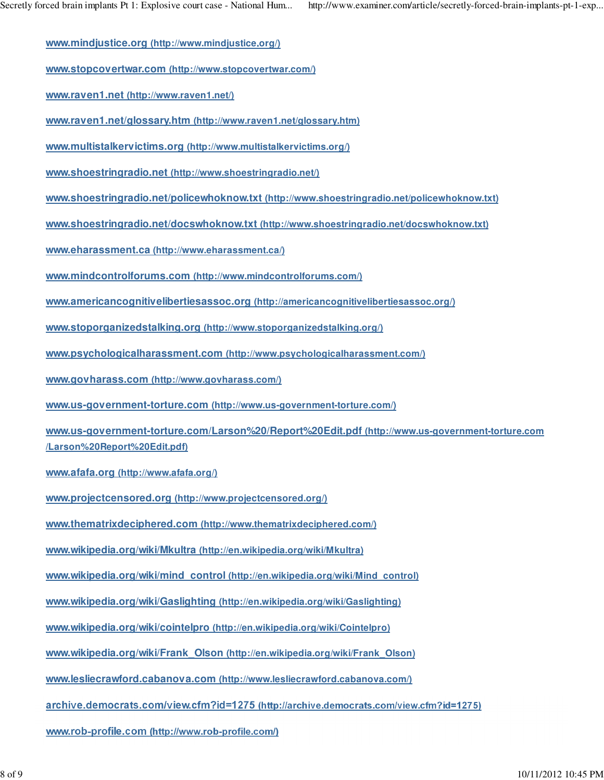**www.mindjustice.org (http://www.mindjustice.org/)**

**www.stopcovertwar.com (http://www.stopcovertwar.com/)**

**www.raven1.net (http://www.raven1.net/)**

**www.raven1.net/glossary.htm (http://www.raven1.net/glossary.htm)**

**www.multistalkervictims.org (http://www.multistalkervictims.org/)**

**www.shoestringradio.net (http://www.shoestringradio.net/)**

**www.shoestringradio.net/policewhoknow.txt (http://www.shoestringradio.net/policewhoknow.txt)**

**www.shoestringradio.net/docswhoknow.txt (http://www.shoestringradio.net/docswhoknow.txt)**

**www.eharassment.ca (http://www.eharassment.ca/)**

**www.mindcontrolforums.com (http://www.mindcontrolforums.com/)**

**www.americancognitivelibertiesassoc.org (http://americancognitivelibertiesassoc.org/)**

**www.stoporganizedstalking.org (http://www.stoporganizedstalking.org/)**

**www.psychologicalharassment.com (http://www.psychologicalharassment.com/)**

**www.govharass.com (http://www.govharass.com/)**

**www.us-government-torture.com (http://www.us-government-torture.com/)**

**www.us-government-torture.com/Larson%20/Report%20Edit.pdf (http://www.us-government-torture.com /Larson%20Report%20Edit.pdf)**

**www.afafa.org (http://www.afafa.org/)**

**www.projectcensored.org (http://www.projectcensored.org/)**

**www.thematrixdeciphered.com (http://www.thematrixdeciphered.com/)**

**www.wikipedia.org/wiki/Mkultra (http://en.wikipedia.org/wiki/Mkultra)**

**www.wikipedia.org/wiki/mind\_control (http://en.wikipedia.org/wiki/Mind\_control)**

**www.wikipedia.org/wiki/Gaslighting (http://en.wikipedia.org/wiki/Gaslighting)**

**www.wikipedia.org/wiki/cointelpro (http://en.wikipedia.org/wiki/Cointelpro)**

**www.wikipedia.org/wiki/Frank\_Olson (http://en.wikipedia.org/wiki/Frank\_Olson)**

**www.lesliecrawford.cabanova.com (http://www.lesliecrawford.cabanova.com/)**

**archive.democrats.com/view.cfm?id=1275 (http://archive.democrats.com/view.cfm?id=1275)**

**www.rob-profile.com (http://www.rob-profile.com/)**